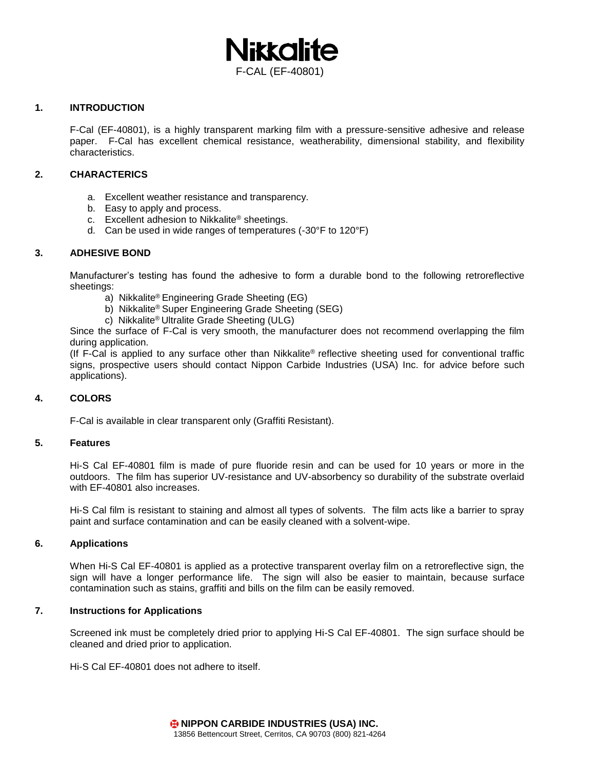

## **1. INTRODUCTION**

F-Cal (EF-40801), is a highly transparent marking film with a pressure-sensitive adhesive and release paper. F-Cal has excellent chemical resistance, weatherability, dimensional stability, and flexibility characteristics.

## **2. CHARACTERICS**

- a. Excellent weather resistance and transparency.
- b. Easy to apply and process.
- c. Excellent adhesion to Nikkalite® sheetings.
- d. Can be used in wide ranges of temperatures (-30°F to 120°F)

## **3. ADHESIVE BOND**

Manufacturer's testing has found the adhesive to form a durable bond to the following retroreflective sheetings:

- a) Nikkalite® Engineering Grade Sheeting (EG)
- b) Nikkalite® Super Engineering Grade Sheeting (SEG)
- c) Nikkalite® Ultralite Grade Sheeting (ULG)

Since the surface of F-Cal is very smooth, the manufacturer does not recommend overlapping the film during application.

(If F-Cal is applied to any surface other than Nikkalite® reflective sheeting used for conventional traffic signs, prospective users should contact Nippon Carbide Industries (USA) Inc. for advice before such applications).

#### **4. COLORS**

F-Cal is available in clear transparent only (Graffiti Resistant).

#### **5. Features**

Hi-S Cal EF-40801 film is made of pure fluoride resin and can be used for 10 years or more in the outdoors. The film has superior UV-resistance and UV-absorbency so durability of the substrate overlaid with EF-40801 also increases.

Hi-S Cal film is resistant to staining and almost all types of solvents. The film acts like a barrier to spray paint and surface contamination and can be easily cleaned with a solvent-wipe.

#### **6. Applications**

When Hi-S Cal EF-40801 is applied as a protective transparent overlay film on a retroreflective sign, the sign will have a longer performance life. The sign will also be easier to maintain, because surface contamination such as stains, graffiti and bills on the film can be easily removed.

#### **7. Instructions for Applications**

Screened ink must be completely dried prior to applying Hi-S Cal EF-40801. The sign surface should be cleaned and dried prior to application.

Hi-S Cal EF-40801 does not adhere to itself.